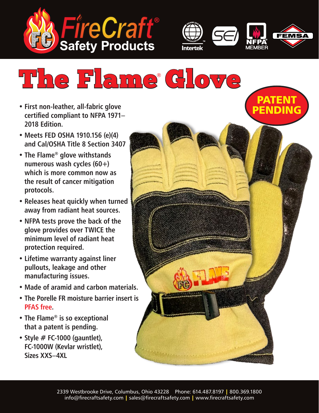



PATENT PENDING

# The Flame® Glove

- **• First non-leather, all-fabric glove certified compliant to NFPA 1971– 2018 Edition.**
- **• Meets FED OSHA 1910.156 (e)(4) and Cal/OSHA Title 8 Section 3407**
- **• The Flame® glove withstands numerous wash cycles (60+) which is more common now as the result of cancer mitigation protocols.**
- **• Releases heat quickly when turned away from radiant heat sources.**
- **• NFPA tests prove the back of the glove provides over TWICE the minimum level of radiant heat protection required.**
- **• Lifetime warranty against liner pullouts, leakage and other manufacturing issues.**
- **• Made of aramid and carbon materials.**
- **• The Porelle FR moisture barrier insert is PFAS free.**
- **• The Flame® is so exceptional that a patent is pending.**
- **• Style # FC-1000 (gauntlet), FC-1000W (Kevlar wristlet), Sizes XXS–4XL**